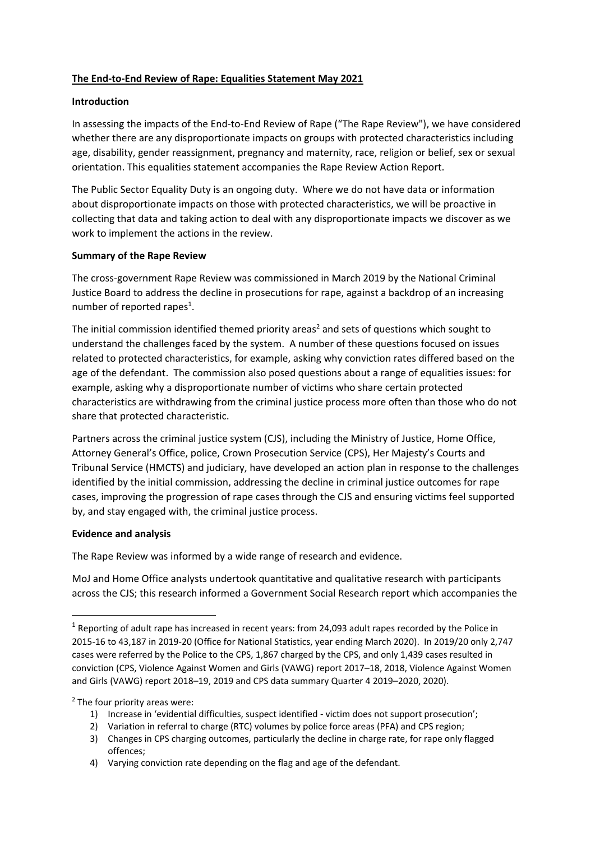#### **The End-to-End Review of Rape: Equalities Statement May 2021**

#### **Introduction**

In assessing the impacts of the End-to-End Review of Rape ("The Rape Review"), we have considered whether there are any disproportionate impacts on groups with protected characteristics including age, disability, gender reassignment, pregnancy and maternity, race, religion or belief, sex or sexual orientation. This equalities statement accompanies the Rape Review Action Report.

The Public Sector Equality Duty is an ongoing duty. Where we do not have data or information about disproportionate impacts on those with protected characteristics, we will be proactive in collecting that data and taking action to deal with any disproportionate impacts we discover as we work to implement the actions in the review.

#### **Summary of the Rape Review**

The cross-government Rape Review was commissioned in March 2019 by the National Criminal Justice Board to address the decline in prosecutions for rape, against a backdrop of an increasing number of reported rapes<sup>1</sup>.

The initial commission identified themed priority areas<sup>2</sup> and sets of questions which sought to understand the challenges faced by the system. A number of these questions focused on issues related to protected characteristics, for example, asking why conviction rates differed based on the age of the defendant. The commission also posed questions about a range of equalities issues: for example, asking why a disproportionate number of victims who share certain protected characteristics are withdrawing from the criminal justice process more often than those who do not share that protected characteristic.

Partners across the criminal justice system (CJS), including the Ministry of Justice, Home Office, Attorney General's Office, police, Crown Prosecution Service (CPS), Her Majesty's Courts and Tribunal Service (HMCTS) and judiciary, have developed an action plan in response to the challenges identified by the initial commission, addressing the decline in criminal justice outcomes for rape cases, improving the progression of rape cases through the CJS and ensuring victims feel supported by, and stay engaged with, the criminal justice process.

#### **Evidence and analysis**

**.** 

The Rape Review was informed by a wide range of research and evidence.

MoJ and Home Office analysts undertook quantitative and qualitative research with participants across the CJS; this research informed a Government Social Research report which accompanies the

<sup>2</sup> The four priority areas were:

- 1) Increase in 'evidential difficulties, suspect identified victim does not support prosecution';
- 2) Variation in referral to charge (RTC) volumes by police force areas (PFA) and CPS region;
- 3) Changes in CPS charging outcomes, particularly the decline in charge rate, for rape only flagged offences;

 $1$  Reporting of adult rape has increased in recent years: from 24,093 adult rapes recorded by the Police in 2015-16 to 43,187 in 2019-20 (Office for National Statistics, year ending March 2020). In 2019/20 only 2,747 cases were referred by the Police to the CPS, 1,867 charged by the CPS, and only 1,439 cases resulted in conviction (CPS, Violence Against Women and Girls (VAWG) report 2017–18, 2018, Violence Against Women and Girls (VAWG) report 2018–19, 2019 and CPS data summary Quarter 4 2019–2020, 2020).

<sup>4)</sup> Varying conviction rate depending on the flag and age of the defendant.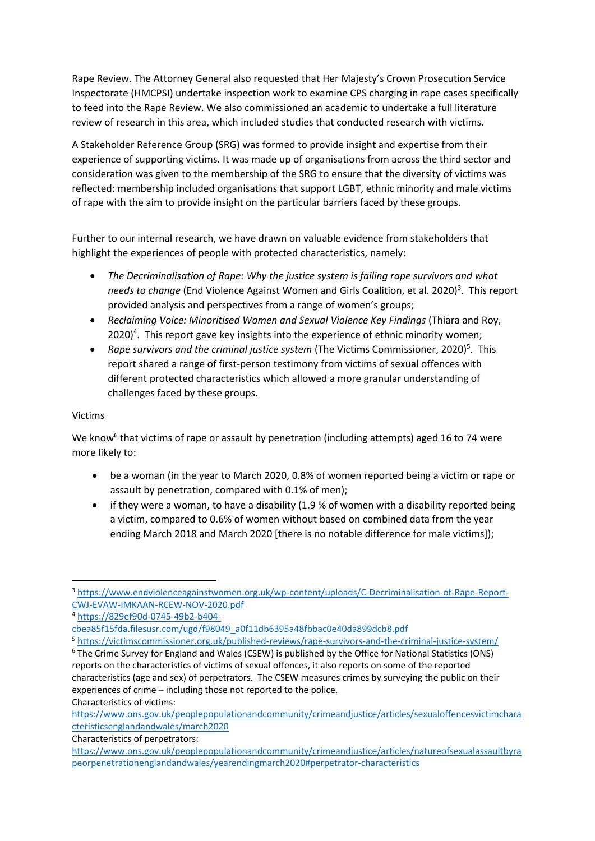Rape Review. The Attorney General also requested that Her Majesty's Crown Prosecution Service Inspectorate (HMCPSI) undertake inspection work to examine CPS charging in rape cases specifically to feed into the Rape Review. We also commissioned an academic to undertake a full literature review of research in this area, which included studies that conducted research with victims.

A Stakeholder Reference Group (SRG) was formed to provide insight and expertise from their experience of supporting victims. It was made up of organisations from across the third sector and consideration was given to the membership of the SRG to ensure that the diversity of victims was reflected: membership included organisations that support LGBT, ethnic minority and male victims of rape with the aim to provide insight on the particular barriers faced by these groups.

Further to our internal research, we have drawn on valuable evidence from stakeholders that highlight the experiences of people with protected characteristics, namely:

- *The Decriminalisation of Rape: Why the justice system is failing rape survivors and what*  needs to change (End Violence Against Women and Girls Coalition, et al. 2020)<sup>3</sup>. This report provided analysis and perspectives from a range of women's groups;
- *Reclaiming Voice: Minoritised Women and Sexual Violence Key Findings* (Thiara and Roy, 2020)<sup>4</sup>. This report gave key insights into the experience of ethnic minority women;
- Rape survivors and the criminal justice system (The Victims Commissioner, 2020)<sup>5</sup>. This report shared a range of first-person testimony from victims of sexual offences with different protected characteristics which allowed a more granular understanding of challenges faced by these groups.

### Victims

We know<sup>6</sup> that victims of rape or assault by penetration (including attempts) aged 16 to 74 were more likely to:

- be a woman (in the year to March 2020, 0.8% of women reported being a victim or rape or assault by penetration, compared with 0.1% of men);
- if they were a woman, to have a disability (1.9 % of women with a disability reported being a victim, compared to 0.6% of women without based on combined data from the year ending March 2018 and March 2020 [there is no notable difference for male victims]);

<sup>5</sup> <https://victimscommissioner.org.uk/published-reviews/rape-survivors-and-the-criminal-justice-system/>

Characteristics of victims:

Characteristics of perpetrators:

<sup>1</sup> <sup>3</sup> [https://www.endviolenceagainstwomen.org.uk/wp-content/uploads/C-Decriminalisation-of-Rape-Report-](https://www.endviolenceagainstwomen.org.uk/wp-content/uploads/C-Decriminalisation-of-Rape-Report-CWJ-EVAW-IMKAAN-RCEW-NOV-2020.pdf)[CWJ-EVAW-IMKAAN-RCEW-NOV-2020.pdf](https://www.endviolenceagainstwomen.org.uk/wp-content/uploads/C-Decriminalisation-of-Rape-Report-CWJ-EVAW-IMKAAN-RCEW-NOV-2020.pdf)

<sup>4</sup> [https://829ef90d-0745-49b2-b404-](https://829ef90d-0745-49b2-b404-cbea85f15fda.filesusr.com/ugd/f98049_a0f11db6395a48fbbac0e40da899dcb8.pdf)

[cbea85f15fda.filesusr.com/ugd/f98049\\_a0f11db6395a48fbbac0e40da899dcb8.pdf](https://829ef90d-0745-49b2-b404-cbea85f15fda.filesusr.com/ugd/f98049_a0f11db6395a48fbbac0e40da899dcb8.pdf)

<sup>6</sup> The Crime Survey for England and Wales (CSEW) is published by the Office for National Statistics (ONS) reports on the characteristics of victims of sexual offences, it also reports on some of the reported characteristics (age and sex) of perpetrators. The CSEW measures crimes by surveying the public on their experiences of crime – including those not reported to the police.

[https://www.ons.gov.uk/peoplepopulationandcommunity/crimeandjustice/articles/sexualoffencesvictimchara](https://www.ons.gov.uk/peoplepopulationandcommunity/crimeandjustice/articles/sexualoffencesvictimcharacteristicsenglandandwales/march2020) [cteristicsenglandandwales/march2020](https://www.ons.gov.uk/peoplepopulationandcommunity/crimeandjustice/articles/sexualoffencesvictimcharacteristicsenglandandwales/march2020)

[https://www.ons.gov.uk/peoplepopulationandcommunity/crimeandjustice/articles/natureofsexualassaultbyra](https://www.ons.gov.uk/peoplepopulationandcommunity/crimeandjustice/articles/natureofsexualassaultbyrapeorpenetrationenglandandwales/yearendingmarch2020#perpetrator-characteristics) [peorpenetrationenglandandwales/yearendingmarch2020#perpetrator-characteristics](https://www.ons.gov.uk/peoplepopulationandcommunity/crimeandjustice/articles/natureofsexualassaultbyrapeorpenetrationenglandandwales/yearendingmarch2020#perpetrator-characteristics)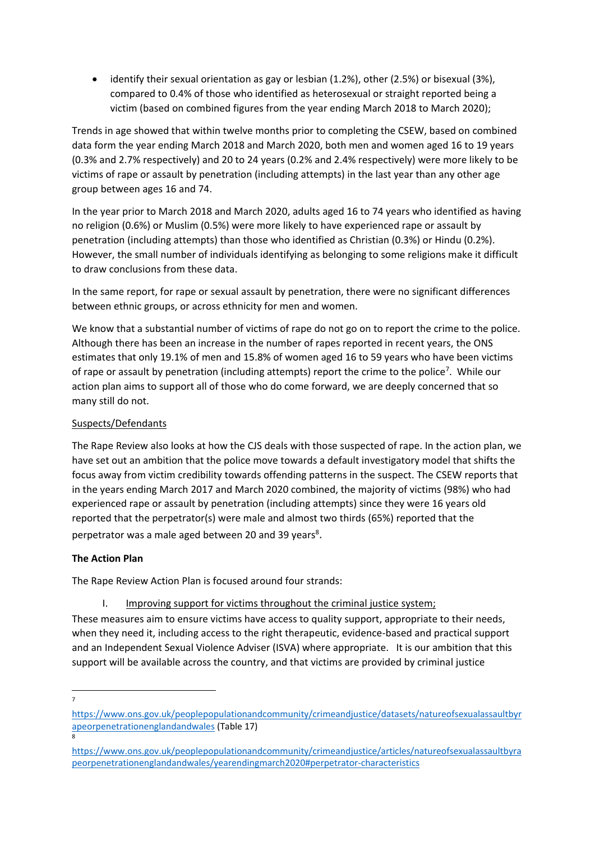identify their sexual orientation as gay or lesbian (1.2%), other (2.5%) or bisexual (3%), compared to 0.4% of those who identified as heterosexual or straight reported being a victim (based on combined figures from the year ending March 2018 to March 2020);

Trends in age showed that within twelve months prior to completing the CSEW, based on combined data form the year ending March 2018 and March 2020, both men and women aged 16 to 19 years (0.3% and 2.7% respectively) and 20 to 24 years (0.2% and 2.4% respectively) were more likely to be victims of rape or assault by penetration (including attempts) in the last year than any other age group between ages 16 and 74.

In the year prior to March 2018 and March 2020, adults aged 16 to 74 years who identified as having no religion (0.6%) or Muslim (0.5%) were more likely to have experienced rape or assault by penetration (including attempts) than those who identified as Christian (0.3%) or Hindu (0.2%). However, the small number of individuals identifying as belonging to some religions make it difficult to draw conclusions from these data.

In the same report, for rape or sexual assault by penetration, there were no significant differences between ethnic groups, or across ethnicity for men and women.

We know that a substantial number of victims of rape do not go on to report the crime to the police. Although there has been an increase in the number of rapes reported in recent years, the ONS estimates that only 19.1% of men and 15.8% of women aged 16 to 59 years who have been victims of rape or assault by penetration (including attempts) report the crime to the police<sup>7</sup>. While our action plan aims to support all of those who do come forward, we are deeply concerned that so many still do not.

### Suspects/Defendants

The Rape Review also looks at how the CJS deals with those suspected of rape. In the action plan, we have set out an ambition that the police move towards a default investigatory model that shifts the focus away from victim credibility towards offending patterns in the suspect. The CSEW reports that in the years ending March 2017 and March 2020 combined, the majority of victims (98%) who had experienced rape or assault by penetration (including attempts) since they were 16 years old reported that the perpetrator(s) were male and almost two thirds (65%) reported that the perpetrator was a male aged between 20 and 39 years<sup>8</sup>.

### **The Action Plan**

The Rape Review Action Plan is focused around four strands:

I. Improving support for victims throughout the criminal justice system;

These measures aim to ensure victims have access to quality support, appropriate to their needs, when they need it, including access to the right therapeutic, evidence-based and practical support and an Independent Sexual Violence Adviser (ISVA) where appropriate. It is our ambition that this support will be available across the country, and that victims are provided by criminal justice

<sup>-&</sup>lt;br>7

[https://www.ons.gov.uk/peoplepopulationandcommunity/crimeandjustice/datasets/natureofsexualassaultbyr](https://www.ons.gov.uk/peoplepopulationandcommunity/crimeandjustice/datasets/natureofsexualassaultbyrapeorpenetrationenglandandwales) [apeorpenetrationenglandandwales](https://www.ons.gov.uk/peoplepopulationandcommunity/crimeandjustice/datasets/natureofsexualassaultbyrapeorpenetrationenglandandwales) (Table 17) 8

[https://www.ons.gov.uk/peoplepopulationandcommunity/crimeandjustice/articles/natureofsexualassaultbyra](https://www.ons.gov.uk/peoplepopulationandcommunity/crimeandjustice/articles/natureofsexualassaultbyrapeorpenetrationenglandandwales/yearendingmarch2020#perpetrator-characteristics) [peorpenetrationenglandandwales/yearendingmarch2020#perpetrator-characteristics](https://www.ons.gov.uk/peoplepopulationandcommunity/crimeandjustice/articles/natureofsexualassaultbyrapeorpenetrationenglandandwales/yearendingmarch2020#perpetrator-characteristics)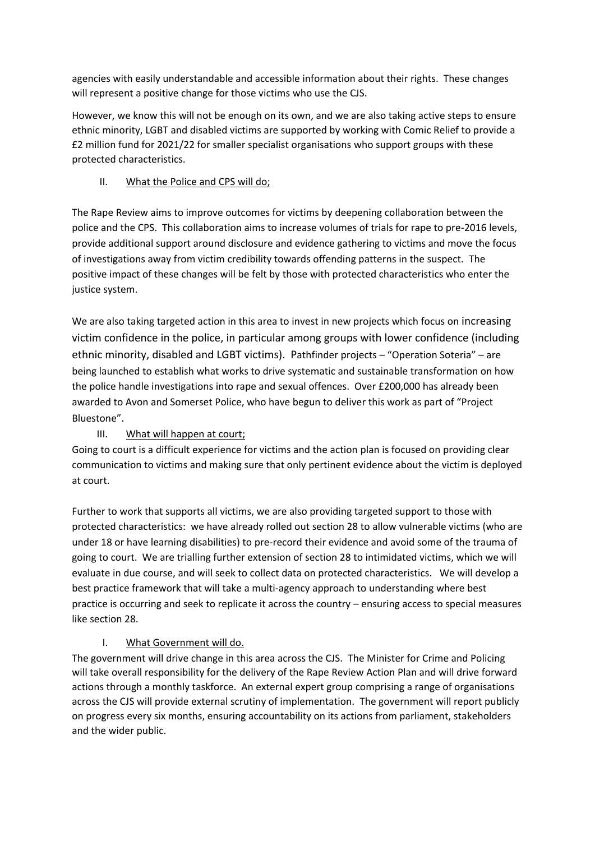agencies with easily understandable and accessible information about their rights. These changes will represent a positive change for those victims who use the CJS.

However, we know this will not be enough on its own, and we are also taking active steps to ensure ethnic minority, LGBT and disabled victims are supported by working with Comic Relief to provide a £2 million fund for 2021/22 for smaller specialist organisations who support groups with these protected characteristics.

# II. What the Police and CPS will do;

The Rape Review aims to improve outcomes for victims by deepening collaboration between the police and the CPS. This collaboration aims to increase volumes of trials for rape to pre-2016 levels, provide additional support around disclosure and evidence gathering to victims and move the focus of investigations away from victim credibility towards offending patterns in the suspect. The positive impact of these changes will be felt by those with protected characteristics who enter the justice system.

We are also taking targeted action in this area to invest in new projects which focus on increasing victim confidence in the police, in particular among groups with lower confidence (including ethnic minority, disabled and LGBT victims). Pathfinder projects – "Operation Soteria" – are being launched to establish what works to drive systematic and sustainable transformation on how the police handle investigations into rape and sexual offences. Over £200,000 has already been awarded to Avon and Somerset Police, who have begun to deliver this work as part of "Project Bluestone".

# III. What will happen at court;

Going to court is a difficult experience for victims and the action plan is focused on providing clear communication to victims and making sure that only pertinent evidence about the victim is deployed at court.

Further to work that supports all victims, we are also providing targeted support to those with protected characteristics: we have already rolled out section 28 to allow vulnerable victims (who are under 18 or have learning disabilities) to pre-record their evidence and avoid some of the trauma of going to court. We are trialling further extension of section 28 to intimidated victims, which we will evaluate in due course, and will seek to collect data on protected characteristics. We will develop a best practice framework that will take a multi-agency approach to understanding where best practice is occurring and seek to replicate it across the country – ensuring access to special measures like section 28.

# I. What Government will do.

The government will drive change in this area across the CJS. The Minister for Crime and Policing will take overall responsibility for the delivery of the Rape Review Action Plan and will drive forward actions through a monthly taskforce. An external expert group comprising a range of organisations across the CJS will provide external scrutiny of implementation. The government will report publicly on progress every six months, ensuring accountability on its actions from parliament, stakeholders and the wider public.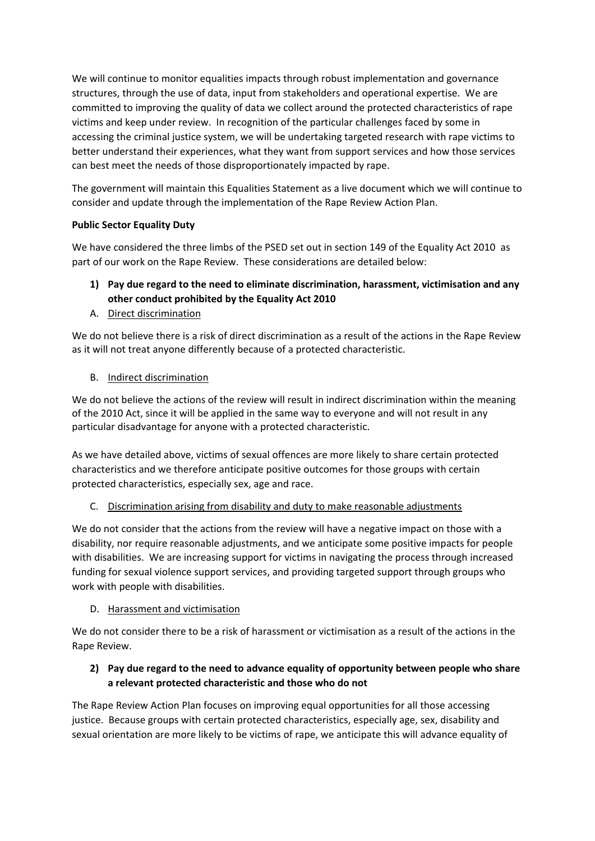We will continue to monitor equalities impacts through robust implementation and governance structures, through the use of data, input from stakeholders and operational expertise. We are committed to improving the quality of data we collect around the protected characteristics of rape victims and keep under review. In recognition of the particular challenges faced by some in accessing the criminal justice system, we will be undertaking targeted research with rape victims to better understand their experiences, what they want from support services and how those services can best meet the needs of those disproportionately impacted by rape.

The government will maintain this Equalities Statement as a live document which we will continue to consider and update through the implementation of the Rape Review Action Plan.

### **Public Sector Equality Duty**

We have considered the three limbs of the PSED set out in section 149 of the Equality Act 2010 as part of our work on the Rape Review. These considerations are detailed below:

# **1) Pay due regard to the need to eliminate discrimination, harassment, victimisation and any other conduct prohibited by the Equality Act 2010**

A. Direct discrimination

We do not believe there is a risk of direct discrimination as a result of the actions in the Rape Review as it will not treat anyone differently because of a protected characteristic.

### B. Indirect discrimination

We do not believe the actions of the review will result in indirect discrimination within the meaning of the 2010 Act, since it will be applied in the same way to everyone and will not result in any particular disadvantage for anyone with a protected characteristic.

As we have detailed above, victims of sexual offences are more likely to share certain protected characteristics and we therefore anticipate positive outcomes for those groups with certain protected characteristics, especially sex, age and race.

# C. Discrimination arising from disability and duty to make reasonable adjustments

We do not consider that the actions from the review will have a negative impact on those with a disability, nor require reasonable adjustments, and we anticipate some positive impacts for people with disabilities. We are increasing support for victims in navigating the process through increased funding for sexual violence support services, and providing targeted support through groups who work with people with disabilities.

### D. Harassment and victimisation

We do not consider there to be a risk of harassment or victimisation as a result of the actions in the Rape Review.

# **2) Pay due regard to the need to advance equality of opportunity between people who share a relevant protected characteristic and those who do not**

The Rape Review Action Plan focuses on improving equal opportunities for all those accessing justice. Because groups with certain protected characteristics, especially age, sex, disability and sexual orientation are more likely to be victims of rape, we anticipate this will advance equality of